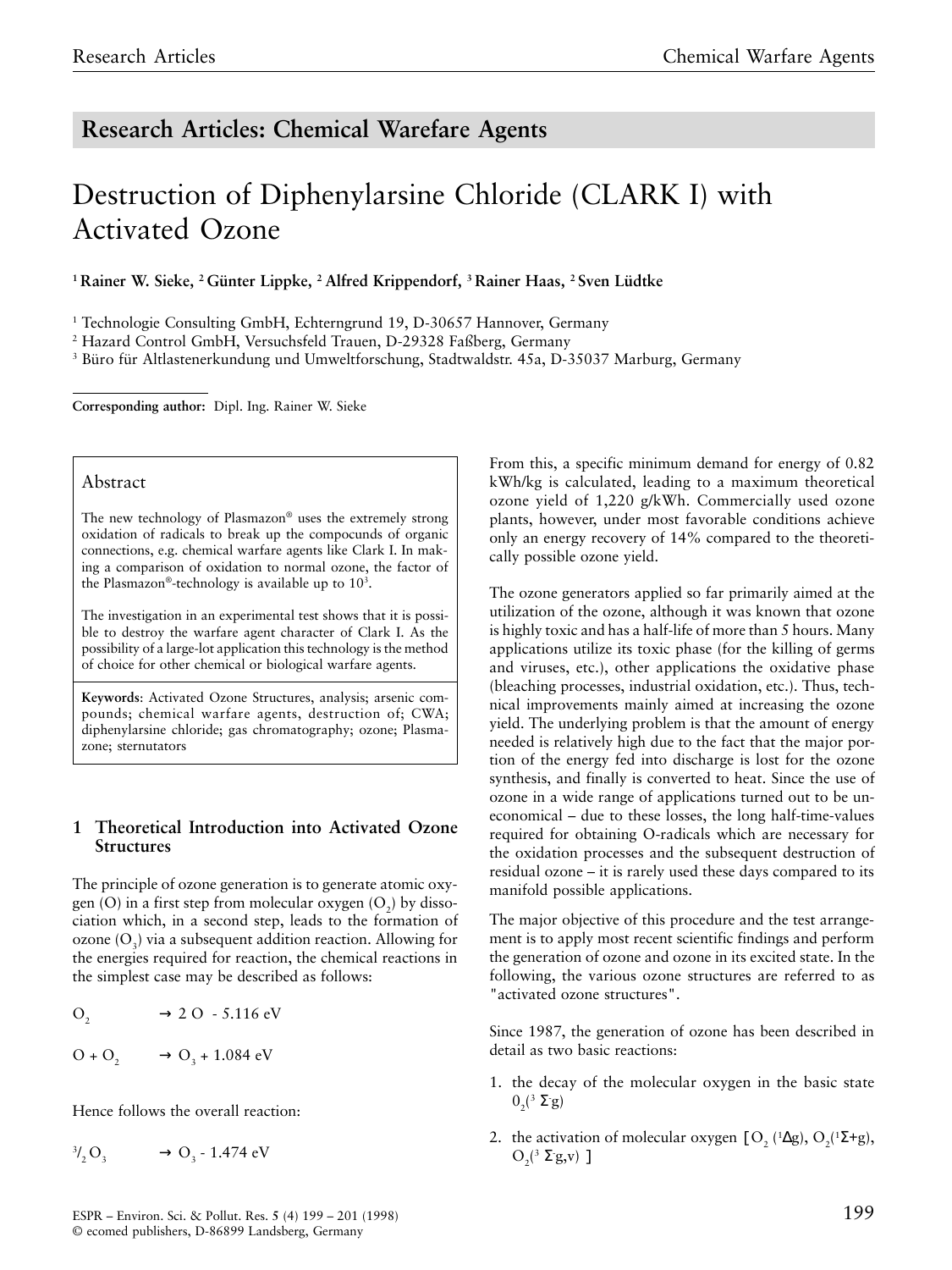# **Research Articles: Chemical Warefare Agents**

# Destruction of Diphenylarsine Chloride (CLARK I) with Activated Ozone

<sup>1</sup> Rainer W. Sieke, <sup>2</sup> Günter Lippke, <sup>2</sup> Alfred Krippendorf, <sup>3</sup> Rainer Haas, <sup>2</sup> Sven Lüdtke

<sup>1</sup> Technologie Consulting GmbH, Echterngrund 19, D-30657 Hannover, Germany

2 Hazard Control GmbH, Versuchsfeld Trauen, D-29328 Faßberg, Germany

3 Büro für Altlastenerkundung und Umweltforschung, Stadtwaldstr. 45a, D-35037 Marburg, Germany

**Corresponding author:** Dipl. Ing. Rainer W. Sieke

### Abstract

The new technology of Plasmazon® uses the extremely strong oxidation of radicals to break up the compocunds of organic connections, e.g. chemical warfare agents like Clark I. In making a comparison of oxidation to normal ozone, the factor of the Plasmazon®-technology is available up to  $10^3$ .

The investigation in an experimental test shows that it is possible to destroy the warfare agent character of Clark I. As the possibility of a large-lot application this technology is the method of choice for other chemical or biological warfare agents.

**Keywords**: Activated Ozone Structures, analysis; arsenic compounds; chemical warfare agents, destruction of; CWA; diphenylarsine chloride; gas chromatography; ozone; Plasmazone; sternutators

# **1 Theoretical Introduction into Activated Ozone Structures**

The principle of ozone generation is to generate atomic oxygen  $(O)$  in a first step from molecular oxygen  $(O_2)$  by dissociation which, in a second step, leads to the formation of  $\alpha$ zone  $(O_2)$  via a subsequent addition reaction. Allowing for the energies required for reaction, the chemical reactions in the simplest case may be described as follows:

$$
O_2 \qquad \longrightarrow 2 \text{ O } -5.116 \text{ eV}
$$

$$
O + O_2 \longrightarrow O_3 + 1.084 \text{ eV}
$$

Hence follows the overall reaction:

 $^{3}/_{2}O_{3}$   $\longrightarrow$   $O_{3}$  - 1.474 eV

From this, a specific minimum demand for energy of 0.82 kWh/kg is calculated, leading to a maximum theoretical ozone yield of 1,220 g/kWh. Commercially used ozone plants, however, under most favorable conditions achieve only an energy recovery of 14% compared to the theoretically possible ozone yield.

The ozone generators applied so far primarily aimed at the utilization of the ozone, although it was known that ozone is highly toxic and has a half-life of more than 5 hours. Many applications utilize its toxic phase (for the killing of germs and viruses, etc.), other applications the oxidative phase (bleaching processes, industrial oxidation, etc.). Thus, technical improvements mainly aimed at increasing the ozone yield. The underlying problem is that the amount of energy needed is relatively high due to the fact that the major portion of the energy fed into discharge is lost for the ozone synthesis, and finally is converted to heat. Since the use of ozone in a wide range of applications turned out to be uneconomical – due to these losses, the long half-time-values required for obtaining O-radicals which are necessary for the oxidation processes and the subsequent destruction of residual ozone – it is rarely used these days compared to its manifold possible applications.

The major objective of this procedure and the test arrangement is to apply most recent scientific findings and perform the generation of ozone and ozone in its excited state. In the following, the various ozone structures are referred to as "activated ozone structures".

Since 1987, the generation of ozone has been described in detail as two basic reactions:

- 1. the decay of the molecular oxygen in the basic state  $0^{3} \Sigma$ s)
- 2. the activation of molecular oxygen  $[O_2 (^{1} \Delta g), O_2 (^{1} \Sigma + g),$  $O_2(3 \Sigma g, v)$ ]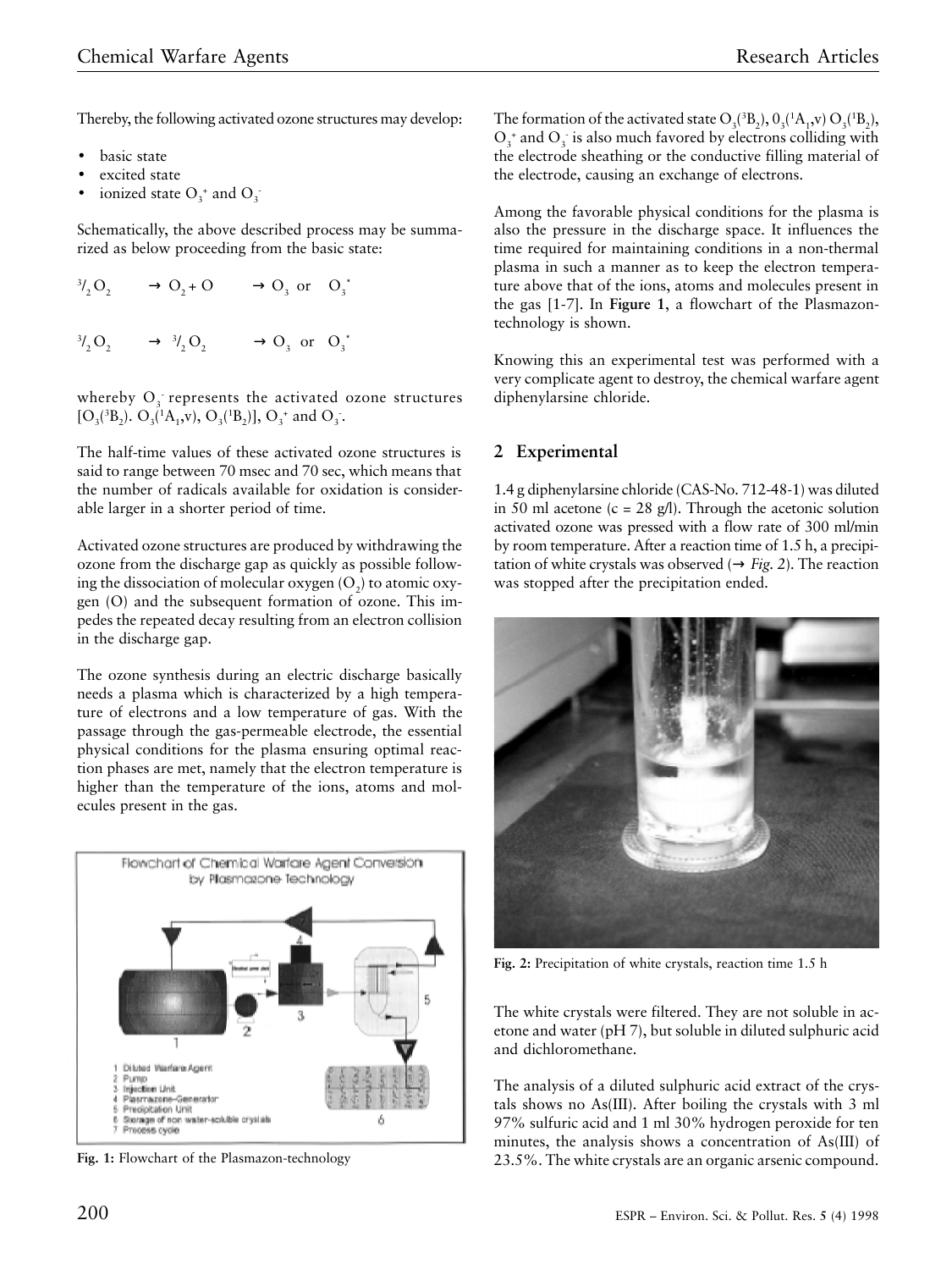Thereby, the following activated ozone structures may develop:

- basic state
- excited state
- ionized state  $O_3^+$  and  $O_3^-$

Schematically, the above described process may be summarized as below proceeding from the basic state:

$$
{}^{3}V_{2}O_{2} \longrightarrow O_{2} + O \longrightarrow O_{3} \text{ or } O_{3}^{*}
$$
  

$$
{}^{3}V_{2}O_{2} \longrightarrow {}^{3}V_{2}O_{2} \longrightarrow O_{3} \text{ or } O_{3}^{*}
$$

whereby  $O_3$  represents the activated ozone structures  $[O_3(^3B_2)$ .  $O_3(^1A_1$ ,v),  $O_3(^1B_2)$ ],  $O_3^+$  and  $O_3^-$ .

The half-time values of these activated ozone structures is said to range between 70 msec and 70 sec, which means that the number of radicals available for oxidation is considerable larger in a shorter period of time.

Activated ozone structures are produced by withdrawing the ozone from the discharge gap as quickly as possible following the dissociation of molecular oxygen (O<sub>2</sub>) to atomic oxygen (O) and the subsequent formation of ozone. This impedes the repeated decay resulting from an electron collision in the discharge gap.

The ozone synthesis during an electric discharge basically needs a plasma which is characterized by a high temperature of electrons and a low temperature of gas. With the passage through the gas-permeable electrode, the essential physical conditions for the plasma ensuring optimal reaction phases are met, namely that the electron temperature is higher than the temperature of the ions, atoms and molecules present in the gas.



**Fig. 1:** Flowchart of the Plasmazon-technology

The formation of the activated state  $O_3(^3B_2)$ ,  $O_3(^1A_1, v) O_3(^1B_2)$ ,  $O_3^*$  and  $O_3^*$  is also much favored by electrons colliding with the electrode sheathing or the conductive filling material of the electrode, causing an exchange of electrons.

Among the favorable physical conditions for the plasma is also the pressure in the discharge space. It influences the time required for maintaining conditions in a non-thermal plasma in such a manner as to keep the electron temperature above that of the ions, atoms and molecules present in the gas [1-7]. In **Figure 1**, a flowchart of the Plasmazontechnology is shown.

Knowing this an experimental test was performed with a very complicate agent to destroy, the chemical warfare agent diphenylarsine chloride.

### **2 Experimental**

1.4 g diphenylarsine chloride (CAS-No. 712-48-1) was diluted in 50 ml acetone  $(c = 28 \text{ g/l})$ . Through the acetonic solution activated ozone was pressed with a flow rate of 300 ml/min by room temperature. After a reaction time of 1.5 h, a precipitation of white crystals was observed ( $\rightarrow$  *Fig.* 2). The reaction was stopped after the precipitation ended.



**Fig. 2:** Precipitation of white crystals, reaction time 1.5 h

The white crystals were filtered. They are not soluble in acetone and water (pH 7), but soluble in diluted sulphuric acid and dichloromethane.

The analysis of a diluted sulphuric acid extract of the crystals shows no As(III). After boiling the crystals with 3 ml 97% sulfuric acid and 1 ml 30% hydrogen peroxide for ten minutes, the analysis shows a concentration of As(III) of 23.5%. The white crystals are an organic arsenic compound.